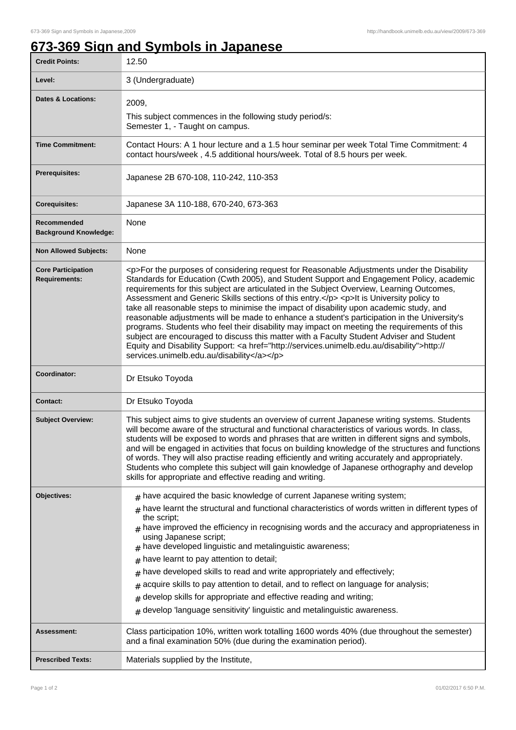## **673-369 Sign and Symbols in Japanese**

| <b>Credit Points:</b>                             | 12.50                                                                                                                                                                                                                                                                                                                                                                                                                                                                                                                                                                                                                                                                                                                                                                                                                                                                                                                        |
|---------------------------------------------------|------------------------------------------------------------------------------------------------------------------------------------------------------------------------------------------------------------------------------------------------------------------------------------------------------------------------------------------------------------------------------------------------------------------------------------------------------------------------------------------------------------------------------------------------------------------------------------------------------------------------------------------------------------------------------------------------------------------------------------------------------------------------------------------------------------------------------------------------------------------------------------------------------------------------------|
| Level:                                            | 3 (Undergraduate)                                                                                                                                                                                                                                                                                                                                                                                                                                                                                                                                                                                                                                                                                                                                                                                                                                                                                                            |
| <b>Dates &amp; Locations:</b>                     | 2009,                                                                                                                                                                                                                                                                                                                                                                                                                                                                                                                                                                                                                                                                                                                                                                                                                                                                                                                        |
|                                                   | This subject commences in the following study period/s:<br>Semester 1, - Taught on campus.                                                                                                                                                                                                                                                                                                                                                                                                                                                                                                                                                                                                                                                                                                                                                                                                                                   |
| <b>Time Commitment:</b>                           | Contact Hours: A 1 hour lecture and a 1.5 hour seminar per week Total Time Commitment: 4<br>contact hours/week, 4.5 additional hours/week. Total of 8.5 hours per week.                                                                                                                                                                                                                                                                                                                                                                                                                                                                                                                                                                                                                                                                                                                                                      |
| <b>Prerequisites:</b>                             | Japanese 2B 670-108, 110-242, 110-353                                                                                                                                                                                                                                                                                                                                                                                                                                                                                                                                                                                                                                                                                                                                                                                                                                                                                        |
| <b>Corequisites:</b>                              | Japanese 3A 110-188, 670-240, 673-363                                                                                                                                                                                                                                                                                                                                                                                                                                                                                                                                                                                                                                                                                                                                                                                                                                                                                        |
| Recommended<br><b>Background Knowledge:</b>       | None                                                                                                                                                                                                                                                                                                                                                                                                                                                                                                                                                                                                                                                                                                                                                                                                                                                                                                                         |
| <b>Non Allowed Subjects:</b>                      | None                                                                                                                                                                                                                                                                                                                                                                                                                                                                                                                                                                                                                                                                                                                                                                                                                                                                                                                         |
| <b>Core Participation</b><br><b>Requirements:</b> | <p>For the purposes of considering request for Reasonable Adjustments under the Disability<br/>Standards for Education (Cwth 2005), and Student Support and Engagement Policy, academic<br/>requirements for this subject are articulated in the Subject Overview, Learning Outcomes,<br/>Assessment and Generic Skills sections of this entry.</p> <p>It is University policy to<br/>take all reasonable steps to minimise the impact of disability upon academic study, and<br/>reasonable adjustments will be made to enhance a student's participation in the University's<br/>programs. Students who feel their disability may impact on meeting the requirements of this<br/>subject are encouraged to discuss this matter with a Faculty Student Adviser and Student<br/>Equity and Disability Support: &lt; a href="http://services.unimelb.edu.au/disability"&gt;http://<br/>services.unimelb.edu.au/disability</p> |
| Coordinator:                                      | Dr Etsuko Toyoda                                                                                                                                                                                                                                                                                                                                                                                                                                                                                                                                                                                                                                                                                                                                                                                                                                                                                                             |
| Contact:                                          | Dr Etsuko Toyoda                                                                                                                                                                                                                                                                                                                                                                                                                                                                                                                                                                                                                                                                                                                                                                                                                                                                                                             |
| <b>Subject Overview:</b>                          | This subject aims to give students an overview of current Japanese writing systems. Students<br>will become aware of the structural and functional characteristics of various words. In class,<br>students will be exposed to words and phrases that are written in different signs and symbols,<br>and will be engaged in activities that focus on building knowledge of the structures and functions<br>of words. They will also practise reading efficiently and writing accurately and appropriately.<br>Students who complete this subject will gain knowledge of Japanese orthography and develop<br>skills for appropriate and effective reading and writing.                                                                                                                                                                                                                                                         |
| Objectives:                                       | $#$ have acquired the basic knowledge of current Japanese writing system;<br>have learnt the structural and functional characteristics of words written in different types of<br>the script;                                                                                                                                                                                                                                                                                                                                                                                                                                                                                                                                                                                                                                                                                                                                 |
|                                                   | $#$ have improved the efficiency in recognising words and the accuracy and appropriateness in<br>using Japanese script;<br>have developed linguistic and metalinguistic awareness;<br>#                                                                                                                                                                                                                                                                                                                                                                                                                                                                                                                                                                                                                                                                                                                                      |
|                                                   | have learnt to pay attention to detail;<br>#                                                                                                                                                                                                                                                                                                                                                                                                                                                                                                                                                                                                                                                                                                                                                                                                                                                                                 |
|                                                   | have developed skills to read and write appropriately and effectively;<br>#<br>acquire skills to pay attention to detail, and to reflect on language for analysis;                                                                                                                                                                                                                                                                                                                                                                                                                                                                                                                                                                                                                                                                                                                                                           |
|                                                   | #<br>develop skills for appropriate and effective reading and writing;<br>#                                                                                                                                                                                                                                                                                                                                                                                                                                                                                                                                                                                                                                                                                                                                                                                                                                                  |
|                                                   | develop 'language sensitivity' linguistic and metalinguistic awareness.<br>$\#$                                                                                                                                                                                                                                                                                                                                                                                                                                                                                                                                                                                                                                                                                                                                                                                                                                              |
| Assessment:                                       | Class participation 10%, written work totalling 1600 words 40% (due throughout the semester)<br>and a final examination 50% (due during the examination period).                                                                                                                                                                                                                                                                                                                                                                                                                                                                                                                                                                                                                                                                                                                                                             |
| <b>Prescribed Texts:</b>                          | Materials supplied by the Institute,                                                                                                                                                                                                                                                                                                                                                                                                                                                                                                                                                                                                                                                                                                                                                                                                                                                                                         |